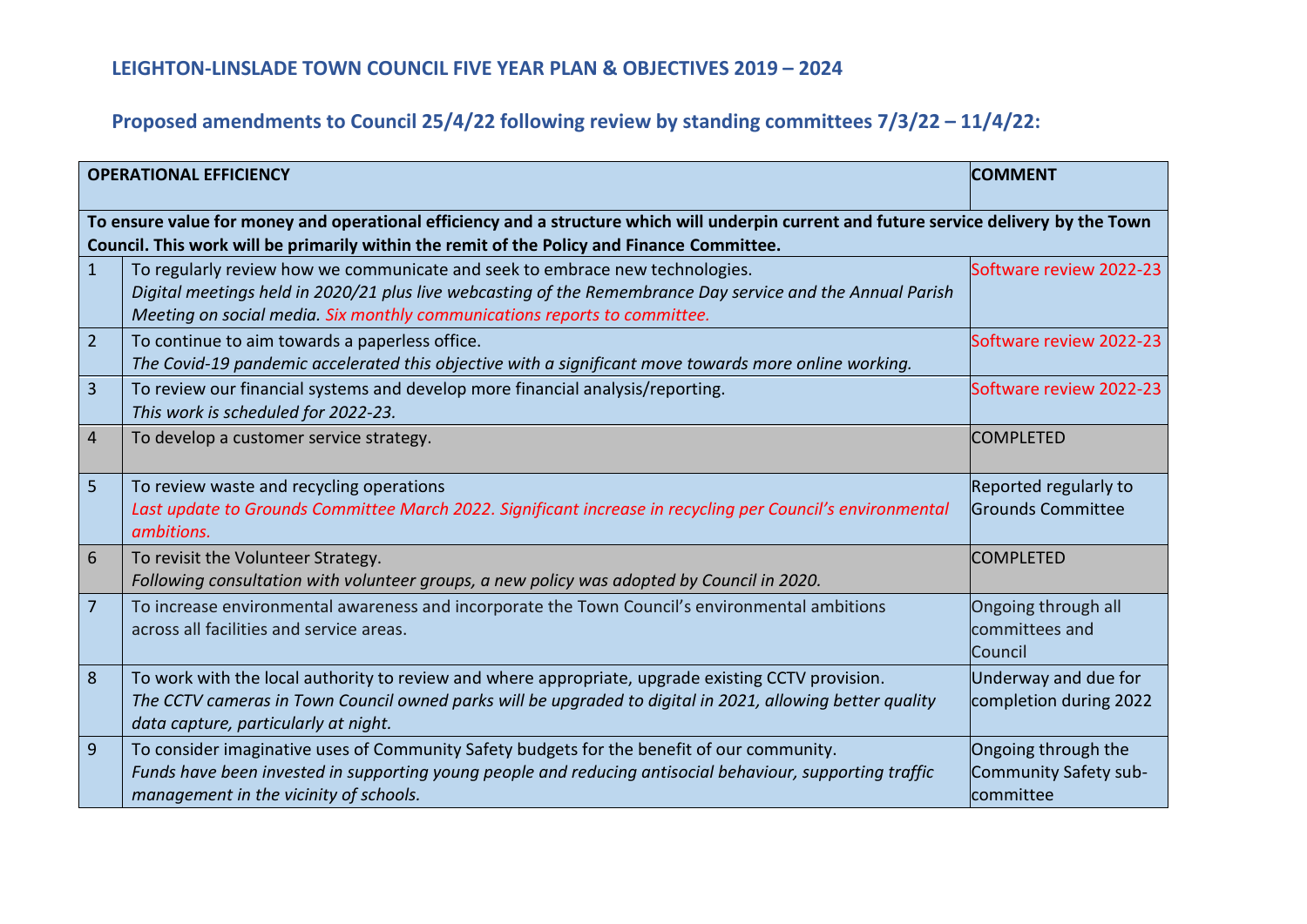| <b>OPERATIONAL EFFICIENCY</b> |                                                                                                                                                                                                                                                                         | <b>COMMENT</b>                                            |
|-------------------------------|-------------------------------------------------------------------------------------------------------------------------------------------------------------------------------------------------------------------------------------------------------------------------|-----------------------------------------------------------|
|                               | To ensure value for money and operational efficiency and a structure which will underpin current and future service delivery by the Town<br>Council. This work will be primarily within the remit of the Policy and Finance Committee.                                  |                                                           |
| $\mathbf{1}$                  | To regularly review how we communicate and seek to embrace new technologies.<br>Digital meetings held in 2020/21 plus live webcasting of the Remembrance Day service and the Annual Parish<br>Meeting on social media. Six monthly communications reports to committee. | Software review 2022-23                                   |
| $\overline{2}$                | To continue to aim towards a paperless office.<br>The Covid-19 pandemic accelerated this objective with a significant move towards more online working.                                                                                                                 | Software review 2022-23                                   |
| $\overline{\mathbf{3}}$       | To review our financial systems and develop more financial analysis/reporting.<br>This work is scheduled for 2022-23.                                                                                                                                                   | Software review 2022-23                                   |
| $\overline{4}$                | To develop a customer service strategy.                                                                                                                                                                                                                                 | <b>COMPLETED</b>                                          |
| 5                             | To review waste and recycling operations<br>Last update to Grounds Committee March 2022. Significant increase in recycling per Council's environmental<br>ambitions.                                                                                                    | Reported regularly to<br><b>Grounds Committee</b>         |
| 6                             | To revisit the Volunteer Strategy.<br>Following consultation with volunteer groups, a new policy was adopted by Council in 2020.                                                                                                                                        | <b>COMPLETED</b>                                          |
| $\overline{7}$                | To increase environmental awareness and incorporate the Town Council's environmental ambitions<br>across all facilities and service areas.                                                                                                                              | Ongoing through all<br>committees and<br>Council          |
| 8                             | To work with the local authority to review and where appropriate, upgrade existing CCTV provision.<br>The CCTV cameras in Town Council owned parks will be upgraded to digital in 2021, allowing better quality<br>data capture, particularly at night.                 | Underway and due for<br>completion during 2022            |
| $\overline{9}$                | To consider imaginative uses of Community Safety budgets for the benefit of our community.<br>Funds have been invested in supporting young people and reducing antisocial behaviour, supporting traffic<br>management in the vicinity of schools.                       | Ongoing through the<br>Community Safety sub-<br>committee |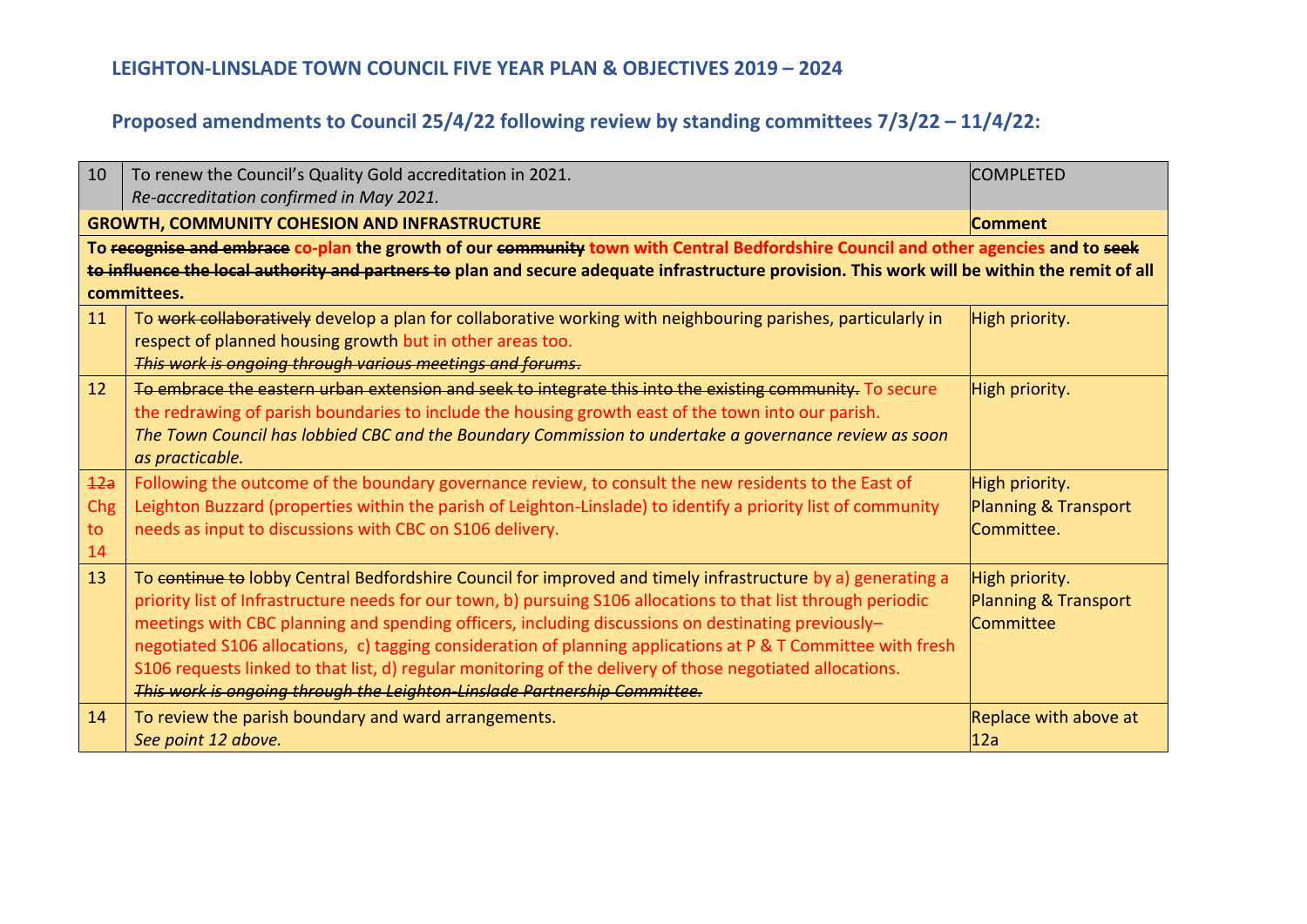| 10  | To renew the Council's Quality Gold accreditation in 2021.                                                                                                                                                                | <b>COMPLETED</b>                |  |
|-----|---------------------------------------------------------------------------------------------------------------------------------------------------------------------------------------------------------------------------|---------------------------------|--|
|     | Re-accreditation confirmed in May 2021.                                                                                                                                                                                   |                                 |  |
|     | <b>GROWTH, COMMUNITY COHESION AND INFRASTRUCTURE</b><br> Comment                                                                                                                                                          |                                 |  |
|     | To recognise and embrace co-plan the growth of our community town with Central Bedfordshire Council and other agencies and to seek                                                                                        |                                 |  |
|     | to influence the local authority and partners to plan and secure adequate infrastructure provision. This work will be within the remit of all                                                                             |                                 |  |
|     | committees.                                                                                                                                                                                                               |                                 |  |
| 11  | To work collaboratively develop a plan for collaborative working with neighbouring parishes, particularly in                                                                                                              | High priority.                  |  |
|     | respect of planned housing growth but in other areas too.                                                                                                                                                                 |                                 |  |
|     | This work is ongoing through various meetings and forums.                                                                                                                                                                 |                                 |  |
| 12  | To embrace the eastern urban extension and seek to integrate this into the existing community. To secure                                                                                                                  | High priority.                  |  |
|     | the redrawing of parish boundaries to include the housing growth east of the town into our parish.                                                                                                                        |                                 |  |
|     | The Town Council has lobbied CBC and the Boundary Commission to undertake a governance review as soon                                                                                                                     |                                 |  |
|     | as practicable.                                                                                                                                                                                                           |                                 |  |
| 42a | Following the outcome of the boundary governance review, to consult the new residents to the East of                                                                                                                      | High priority.                  |  |
| Chg | Leighton Buzzard (properties within the parish of Leighton-Linslade) to identify a priority list of community                                                                                                             | <b>Planning &amp; Transport</b> |  |
| to  | needs as input to discussions with CBC on S106 delivery.                                                                                                                                                                  | Committee.                      |  |
| 14  |                                                                                                                                                                                                                           |                                 |  |
| 13  | To continue to lobby Central Bedfordshire Council for improved and timely infrastructure by a) generating a                                                                                                               | High priority.                  |  |
|     | priority list of Infrastructure needs for our town, b) pursuing S106 allocations to that list through periodic                                                                                                            | Planning & Transport            |  |
|     | meetings with CBC planning and spending officers, including discussions on destinating previously-                                                                                                                        | <b>Committee</b>                |  |
|     | negotiated S106 allocations, c) tagging consideration of planning applications at P & T Committee with fresh<br>S106 requests linked to that list, d) regular monitoring of the delivery of those negotiated allocations. |                                 |  |
|     | This work is ongoing through the Leighton-Linslade Partnership Committee.                                                                                                                                                 |                                 |  |
| 14  |                                                                                                                                                                                                                           |                                 |  |
|     | To review the parish boundary and ward arrangements.<br>See point 12 above.                                                                                                                                               | Replace with above at<br>12a    |  |
|     |                                                                                                                                                                                                                           |                                 |  |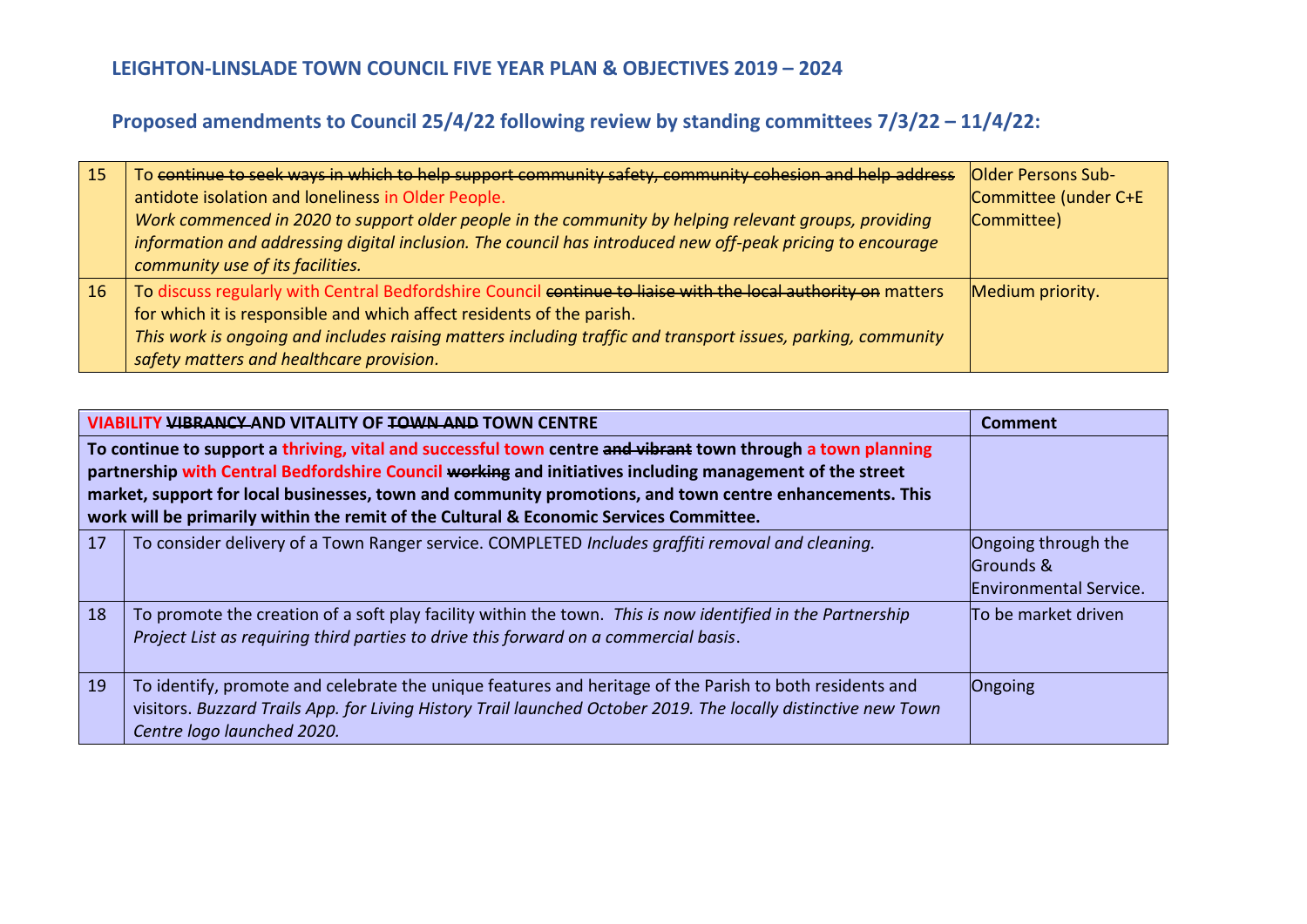| <b>15</b> | To continue to seek ways in which to help support community safety, community cohesion and help address       | Older Persons Sub-   |
|-----------|---------------------------------------------------------------------------------------------------------------|----------------------|
|           | antidote isolation and loneliness in Older People.                                                            | Committee (under C+E |
|           | Work commenced in 2020 to support older people in the community by helping relevant groups, providing         | Committee)           |
|           | information and addressing digital inclusion. The council has introduced new off-peak pricing to encourage    |                      |
|           | community use of its facilities.                                                                              |                      |
| 16        | To discuss regularly with Central Bedfordshire Council continue to liaise with the local authority on matters | Medium priority.     |
|           | for which it is responsible and which affect residents of the parish.                                         |                      |
|           | This work is ongoing and includes raising matters including traffic and transport issues, parking, community  |                      |
|           | safety matters and healthcare provision.                                                                      |                      |

| <b>VIABILITY VIBRANCY AND VITALITY OF TOWN AND TOWN CENTRE</b>                                                                                                                                                                                                                                                                                                                                                                |                                                                                                                                                                                                                                                         | <b>Comment</b>                                                    |
|-------------------------------------------------------------------------------------------------------------------------------------------------------------------------------------------------------------------------------------------------------------------------------------------------------------------------------------------------------------------------------------------------------------------------------|---------------------------------------------------------------------------------------------------------------------------------------------------------------------------------------------------------------------------------------------------------|-------------------------------------------------------------------|
| To continue to support a thriving, vital and successful town centre and vibrant town through a town planning<br>partnership with Central Bedfordshire Council working and initiatives including management of the street<br>market, support for local businesses, town and community promotions, and town centre enhancements. This<br>work will be primarily within the remit of the Cultural & Economic Services Committee. |                                                                                                                                                                                                                                                         |                                                                   |
| 17                                                                                                                                                                                                                                                                                                                                                                                                                            | To consider delivery of a Town Ranger service. COMPLETED Includes graffiti removal and cleaning.                                                                                                                                                        | Ongoing through the<br>Grounds &<br><b>Environmental Service.</b> |
| 18                                                                                                                                                                                                                                                                                                                                                                                                                            | To promote the creation of a soft play facility within the town. This is now identified in the Partnership<br>Project List as requiring third parties to drive this forward on a commercial basis.                                                      | To be market driven                                               |
| 19                                                                                                                                                                                                                                                                                                                                                                                                                            | To identify, promote and celebrate the unique features and heritage of the Parish to both residents and<br>visitors. Buzzard Trails App. for Living History Trail launched October 2019. The locally distinctive new Town<br>Centre logo launched 2020. | Ongoing                                                           |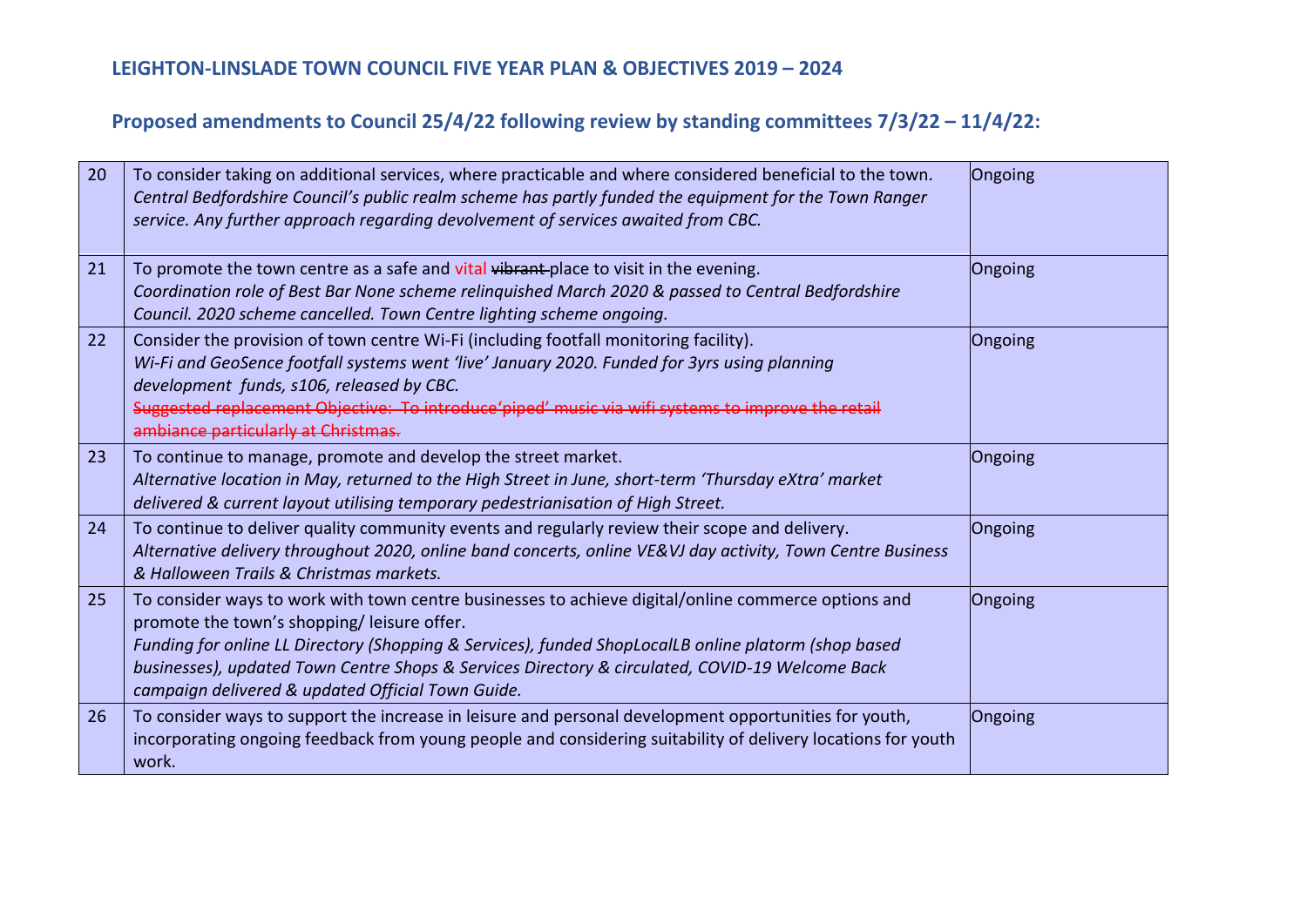| 20 | To consider taking on additional services, where practicable and where considered beneficial to the town.<br>Central Bedfordshire Council's public realm scheme has partly funded the equipment for the Town Ranger<br>service. Any further approach regarding devolvement of services awaited from CBC.                                                                                                          | Ongoing |
|----|-------------------------------------------------------------------------------------------------------------------------------------------------------------------------------------------------------------------------------------------------------------------------------------------------------------------------------------------------------------------------------------------------------------------|---------|
| 21 | To promote the town centre as a safe and vital vibrant-place to visit in the evening.<br>Coordination role of Best Bar None scheme relinguished March 2020 & passed to Central Bedfordshire<br>Council. 2020 scheme cancelled. Town Centre lighting scheme ongoing.                                                                                                                                               | Ongoing |
| 22 | Consider the provision of town centre Wi-Fi (including footfall monitoring facility).<br>Wi-Fi and GeoSence footfall systems went 'live' January 2020. Funded for 3yrs using planning<br>development funds, s106, released by CBC.<br>Suggested replacement Objective: To introduce'piped' music via wifi systems to improve the retail<br>ambiance particularly at Christmas.                                    | Ongoing |
| 23 | To continue to manage, promote and develop the street market.<br>Alternative location in May, returned to the High Street in June, short-term 'Thursday eXtra' market<br>delivered & current layout utilising temporary pedestrianisation of High Street.                                                                                                                                                         | Ongoing |
| 24 | To continue to deliver quality community events and regularly review their scope and delivery.<br>Alternative delivery throughout 2020, online band concerts, online VE&VJ day activity, Town Centre Business<br>& Halloween Trails & Christmas markets.                                                                                                                                                          | Ongoing |
| 25 | To consider ways to work with town centre businesses to achieve digital/online commerce options and<br>promote the town's shopping/leisure offer.<br>Funding for online LL Directory (Shopping & Services), funded ShopLocalLB online platorm (shop based<br>businesses), updated Town Centre Shops & Services Directory & circulated, COVID-19 Welcome Back<br>campaign delivered & updated Official Town Guide. | Ongoing |
| 26 | To consider ways to support the increase in leisure and personal development opportunities for youth,<br>incorporating ongoing feedback from young people and considering suitability of delivery locations for youth<br>work.                                                                                                                                                                                    | Ongoing |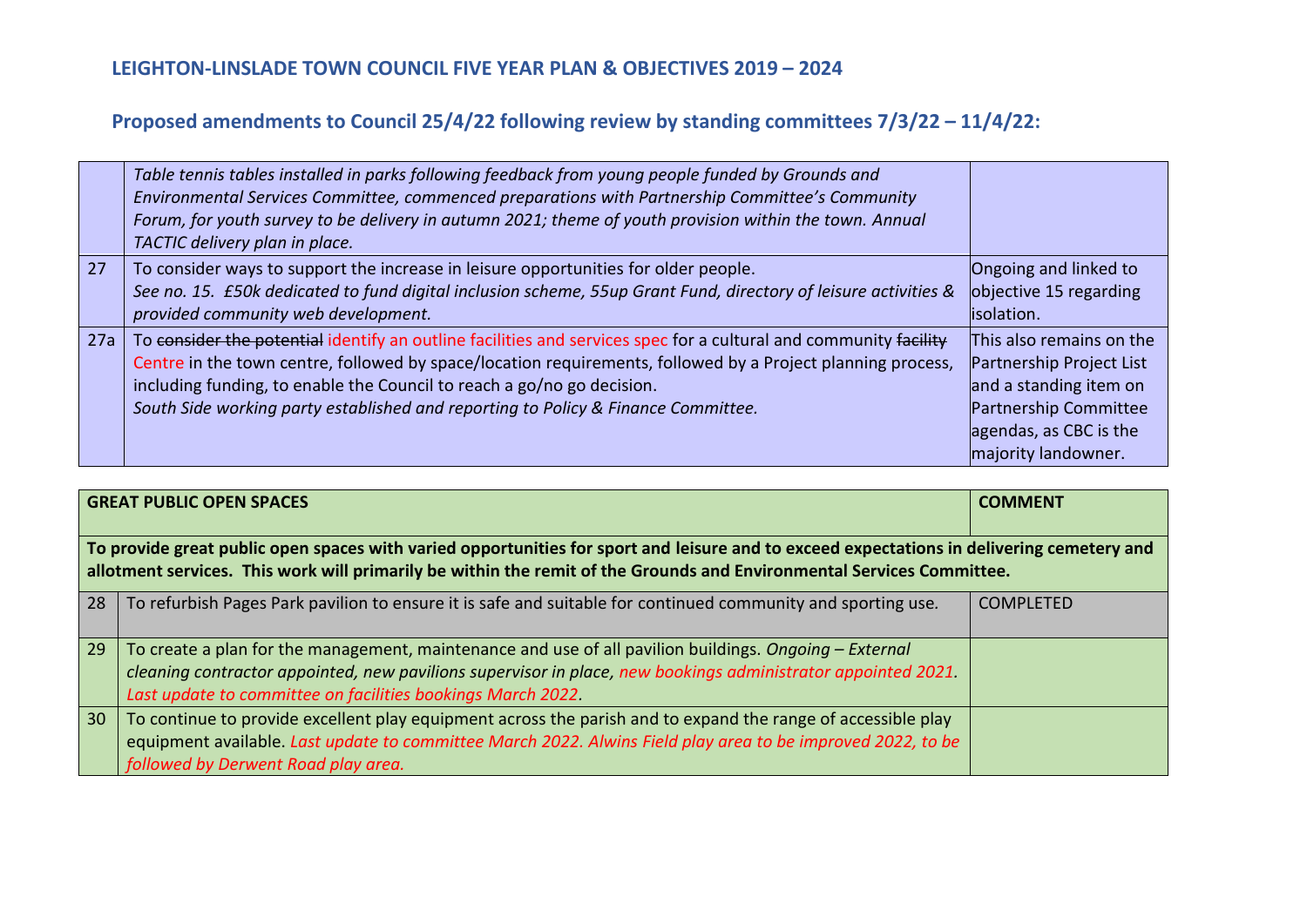|     | Table tennis tables installed in parks following feedback from young people funded by Grounds and<br>Environmental Services Committee, commenced preparations with Partnership Committee's Community<br>Forum, for youth survey to be delivery in autumn 2021; theme of youth provision within the town. Annual<br>TACTIC delivery plan in place.                                              |                                                                                                                                                          |
|-----|------------------------------------------------------------------------------------------------------------------------------------------------------------------------------------------------------------------------------------------------------------------------------------------------------------------------------------------------------------------------------------------------|----------------------------------------------------------------------------------------------------------------------------------------------------------|
| 27  | To consider ways to support the increase in leisure opportunities for older people.<br>See no. 15. £50k dedicated to fund digital inclusion scheme, 55up Grant Fund, directory of leisure activities &<br>provided community web development.                                                                                                                                                  | Ongoing and linked to<br>objective 15 regarding<br>lisolation.                                                                                           |
| 27a | To consider the potential identify an outline facilities and services spec for a cultural and community facility<br>Centre in the town centre, followed by space/location requirements, followed by a Project planning process,<br>including funding, to enable the Council to reach a go/no go decision.<br>South Side working party established and reporting to Policy & Finance Committee. | This also remains on the<br>Partnership Project List<br>and a standing item on<br>Partnership Committee<br>agendas, as CBC is the<br>majority landowner. |

| <b>GREAT PUBLIC OPEN SPACES</b>                                                                                                                                                                                                                                    |                                                                                                                                                                                                                                                                                       | <b>COMMENT</b>   |
|--------------------------------------------------------------------------------------------------------------------------------------------------------------------------------------------------------------------------------------------------------------------|---------------------------------------------------------------------------------------------------------------------------------------------------------------------------------------------------------------------------------------------------------------------------------------|------------------|
| To provide great public open spaces with varied opportunities for sport and leisure and to exceed expectations in delivering cemetery and<br>allotment services. This work will primarily be within the remit of the Grounds and Environmental Services Committee. |                                                                                                                                                                                                                                                                                       |                  |
| 28                                                                                                                                                                                                                                                                 | To refurbish Pages Park pavilion to ensure it is safe and suitable for continued community and sporting use.                                                                                                                                                                          | <b>COMPLETED</b> |
| 29                                                                                                                                                                                                                                                                 | To create a plan for the management, maintenance and use of all pavilion buildings. Ongoing - External<br>cleaning contractor appointed, new pavilions supervisor in place, new bookings administrator appointed 2021.<br>Last update to committee on facilities bookings March 2022. |                  |
| 30                                                                                                                                                                                                                                                                 | To continue to provide excellent play equipment across the parish and to expand the range of accessible play<br>equipment available. Last update to committee March 2022. Alwins Field play area to be improved 2022, to be<br>followed by Derwent Road play area.                    |                  |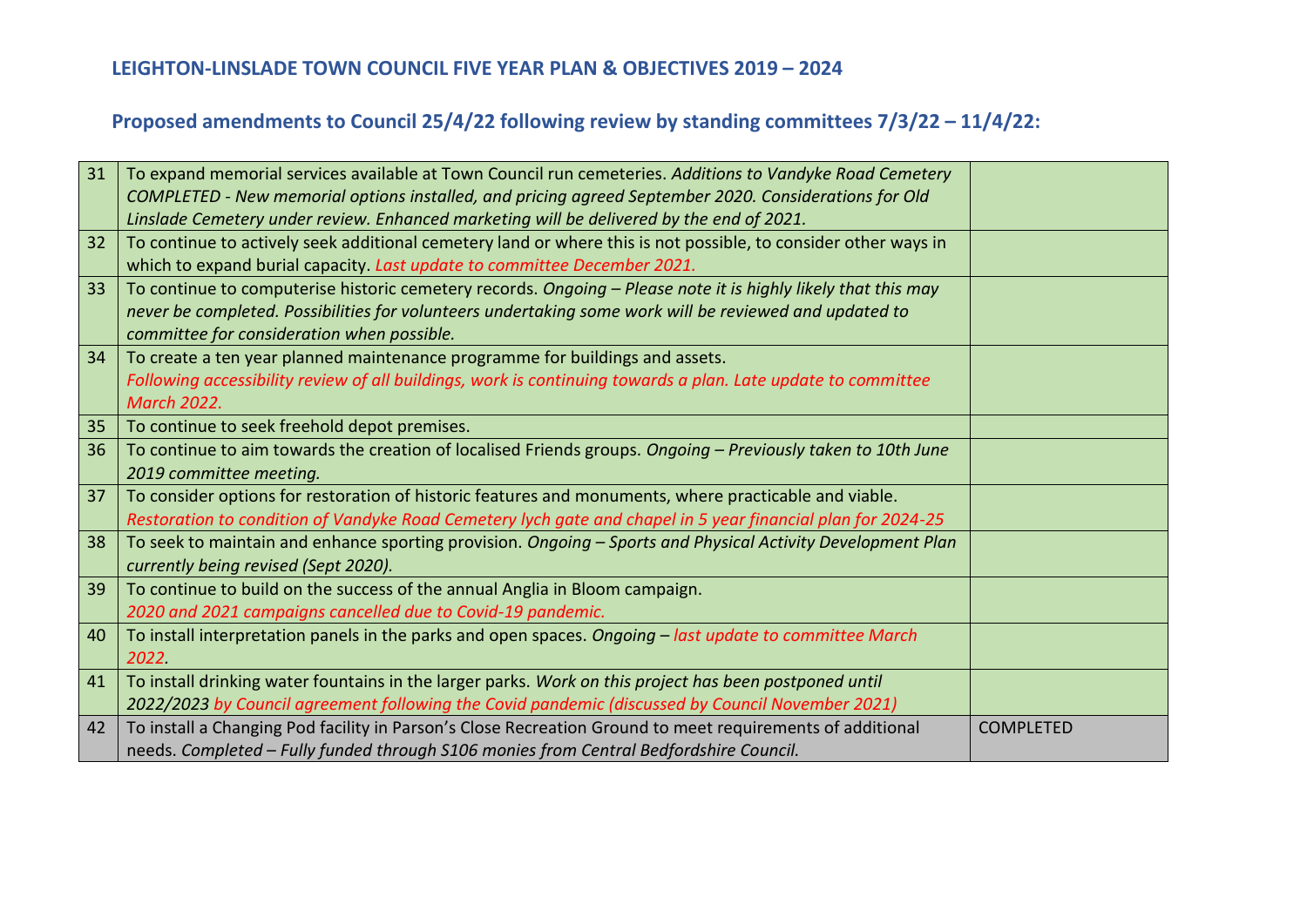| 31 | To expand memorial services available at Town Council run cemeteries. Additions to Vandyke Road Cemetery       |                  |
|----|----------------------------------------------------------------------------------------------------------------|------------------|
|    | COMPLETED - New memorial options installed, and pricing agreed September 2020. Considerations for Old          |                  |
|    | Linslade Cemetery under review. Enhanced marketing will be delivered by the end of 2021.                       |                  |
| 32 | To continue to actively seek additional cemetery land or where this is not possible, to consider other ways in |                  |
|    | which to expand burial capacity. Last update to committee December 2021.                                       |                  |
| 33 | To continue to computerise historic cemetery records. Ongoing - Please note it is highly likely that this may  |                  |
|    | never be completed. Possibilities for volunteers undertaking some work will be reviewed and updated to         |                  |
|    | committee for consideration when possible.                                                                     |                  |
| 34 | To create a ten year planned maintenance programme for buildings and assets.                                   |                  |
|    | Following accessibility review of all buildings, work is continuing towards a plan. Late update to committee   |                  |
|    | <b>March 2022.</b>                                                                                             |                  |
| 35 | To continue to seek freehold depot premises.                                                                   |                  |
| 36 | To continue to aim towards the creation of localised Friends groups. Ongoing - Previously taken to 10th June   |                  |
|    | 2019 committee meeting.                                                                                        |                  |
| 37 | To consider options for restoration of historic features and monuments, where practicable and viable.          |                  |
|    | Restoration to condition of Vandyke Road Cemetery lych gate and chapel in 5 year financial plan for 2024-25    |                  |
| 38 | To seek to maintain and enhance sporting provision. Ongoing - Sports and Physical Activity Development Plan    |                  |
|    | currently being revised (Sept 2020).                                                                           |                  |
| 39 | To continue to build on the success of the annual Anglia in Bloom campaign.                                    |                  |
|    | 2020 and 2021 campaigns cancelled due to Covid-19 pandemic.                                                    |                  |
| 40 | To install interpretation panels in the parks and open spaces. Ongoing - last update to committee March        |                  |
|    | 2022                                                                                                           |                  |
| 41 | To install drinking water fountains in the larger parks. Work on this project has been postponed until         |                  |
|    | 2022/2023 by Council agreement following the Covid pandemic (discussed by Council November 2021)               |                  |
| 42 | To install a Changing Pod facility in Parson's Close Recreation Ground to meet requirements of additional      | <b>COMPLETED</b> |
|    | needs. Completed - Fully funded through S106 monies from Central Bedfordshire Council.                         |                  |